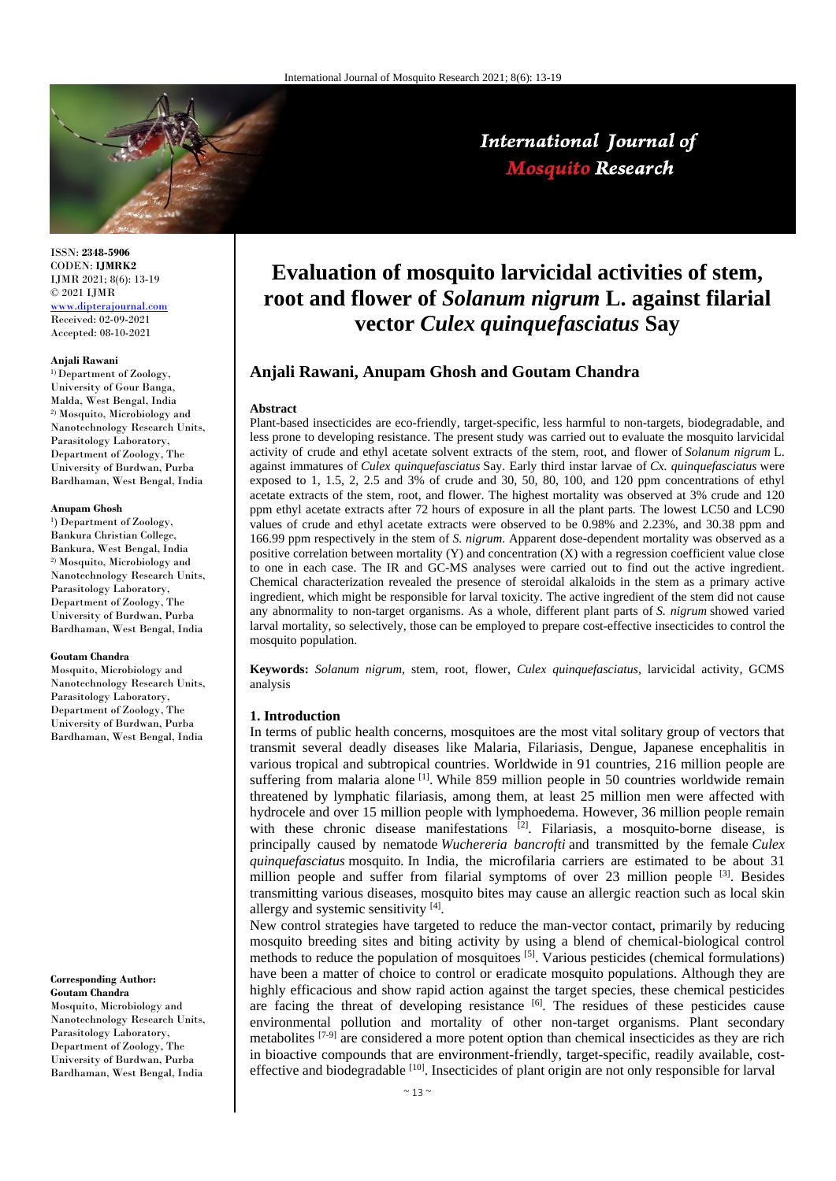

# International Journal of **Mosquito Research**

ISSN: **2348-5906** CODEN: **IJMRK2** IJMR 2021; 8(6): 13-19 © 2021 IJMR [www.dipterajournal.com](file://server/d/Mosquito/Issue/8%20Volume/www.dipterajournal.com)

Received: 02-09-2021 Accepted: 08-10-2021

#### **Anjali Rawani**

<sup>1)</sup>Department of Zoology, University of Gour Banga, Malda, West Bengal, India 2) Mosquito, Microbiology and Nanotechnology Research Units, Parasitology Laboratory, Department of Zoology, The University of Burdwan, Purba Bardhaman, West Bengal, India

#### **Anupam Ghosh**

<sup>1</sup>) Department of Zoology, Bankura Christian College, Bankura, West Bengal, India 2) Mosquito, Microbiology and Nanotechnology Research Units, Parasitology Laboratory, Department of Zoology, The University of Burdwan, Purba Bardhaman, West Bengal, India

#### **Goutam Chandra**

Mosquito, Microbiology and Nanotechnology Research Units, Parasitology Laboratory, Department of Zoology, The University of Burdwan, Purba Bardhaman, West Bengal, India

#### **Corresponding Author: Goutam Chandra**

Mosquito, Microbiology and Nanotechnology Research Units, Parasitology Laboratory, Department of Zoology, The University of Burdwan, Purba Bardhaman, West Bengal, India

# **Evaluation of mosquito larvicidal activities of stem, root and flower of** *Solanum nigrum* **L. against filarial vector** *Culex quinquefasciatus* **Say**

# **Anjali Rawani, Anupam Ghosh and Goutam Chandra**

#### **Abstract**

Plant-based insecticides are eco-friendly, target-specific, less harmful to non-targets, biodegradable, and less prone to developing resistance. The present study was carried out to evaluate the mosquito larvicidal activity of crude and ethyl acetate solvent extracts of the stem, root, and flower of *Solanum nigrum* L. against immatures of *Culex quinquefasciatus* Say. Early third instar larvae of *Cx. quinquefasciatus* were exposed to 1, 1.5, 2, 2.5 and 3% of crude and 30, 50, 80, 100, and 120 ppm concentrations of ethyl acetate extracts of the stem, root, and flower. The highest mortality was observed at 3% crude and 120 ppm ethyl acetate extracts after 72 hours of exposure in all the plant parts. The lowest LC50 and LC90 values of crude and ethyl acetate extracts were observed to be 0.98% and 2.23%, and 30.38 ppm and 166.99 ppm respectively in the stem of *S. nigrum*. Apparent dose-dependent mortality was observed as a positive correlation between mortality  $(Y)$  and concentration  $(X)$  with a regression coefficient value close to one in each case. The IR and GC-MS analyses were carried out to find out the active ingredient. Chemical characterization revealed the presence of steroidal alkaloids in the stem as a primary active ingredient, which might be responsible for larval toxicity. The active ingredient of the stem did not cause any abnormality to non-target organisms. As a whole, different plant parts of *S. nigrum* showed varied larval mortality, so selectively, those can be employed to prepare cost-effective insecticides to control the mosquito population.

**Keywords:** *Solanum nigrum,* stem, root, flower, *Culex quinquefasciatus*, larvicidal activity, GCMS analysis

## **1. Introduction**

In terms of public health concerns, mosquitoes are the most vital solitary group of vectors that transmit several deadly diseases like Malaria, Filariasis, Dengue, Japanese encephalitis in various tropical and subtropical countries. Worldwide in 91 countries, 216 million people are suffering from malaria alone  $\left[1\right]$ . While 859 million people in 50 countries worldwide remain threatened by lymphatic filariasis, among them, at least 25 million men were affected with hydrocele and over 15 million people with lymphoedema. However, 36 million people remain with these chronic disease manifestations <sup>[2]</sup>. Filariasis, a mosquito-borne disease, is principally caused by nematode *Wuchereria bancrofti* and transmitted by the female *Culex quinquefasciatus* mosquito*.* In India, the microfilaria carriers are estimated to be about 31 million people and suffer from filarial symptoms of over 23 million people  $[3]$ . Besides transmitting various diseases, mosquito bites may cause an allergic reaction such as local skin allergy and systemic sensitivity  $[4]$ .

New control strategies have targeted to reduce the man-vector contact, primarily by reducing mosquito breeding sites and biting activity by using a blend of chemical-biological control methods to reduce the population of mosquitoes [5]. Various pesticides (chemical formulations) have been a matter of choice to control or eradicate mosquito populations. Although they are highly efficacious and show rapid action against the target species, these chemical pesticides are facing the threat of developing resistance [6]. The residues of these pesticides cause environmental pollution and mortality of other non-target organisms. Plant secondary metabolites [7-9] are considered a more potent option than chemical insecticides as they are rich in bioactive compounds that are environment-friendly, target-specific, readily available, costeffective and biodegradable  $^{[10]}$ . Insecticides of plant origin are not only responsible for larval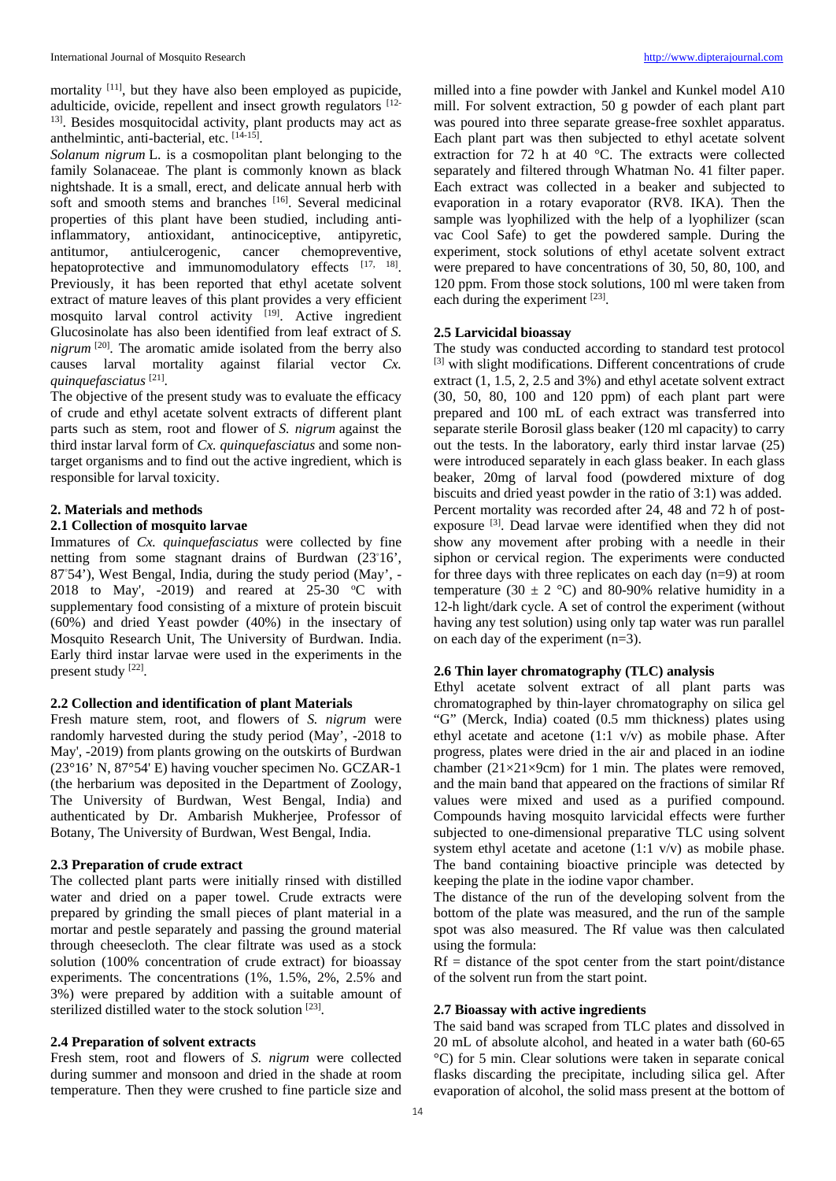mortality <sup>[11]</sup>, but they have also been employed as pupicide, adulticide, ovicide, repellent and insect growth regulators [12- <sup>13]</sup>. Besides mosquitocidal activity, plant products may act as anthelmintic, anti-bacterial, etc. [14-15].

*Solanum nigrum* L. is a cosmopolitan plant belonging to the family Solanaceae. The plant is commonly known as black nightshade. It is a small, erect, and delicate annual herb with soft and smooth stems and branches [16]. Several medicinal properties of this plant have been studied, including antiinflammatory, antioxidant, antinociceptive, antipyretic, antitumor, antiulcerogenic, cancer chemopreventive, hepatoprotective and immunomodulatory effects [17, 18]. Previously, it has been reported that ethyl acetate solvent extract of mature leaves of this plant provides a very efficient mosquito larval control activity  $[19]$ . Active ingredient Glucosinolate has also been identified from leaf extract of *S. nigrum* [20]. The aromatic amide isolated from the berry also causes larval mortality against filarial vector *Cx. quinquefasciatus* [21].

The objective of the present study was to evaluate the efficacy of crude and ethyl acetate solvent extracts of different plant parts such as stem, root and flower of *S. nigrum* against the third instar larval form of *Cx. quinquefasciatus* and some nontarget organisms and to find out the active ingredient, which is responsible for larval toxicity.

## **2. Materials and methods**

## **2.1 Collection of mosquito larvae**

Immatures of *Cx. quinquefasciatus* were collected by fine netting from some stagnant drains of Burdwan (23°16', 87°54'), West Bengal, India, during the study period (May', -2018 to May', -2019) and reared at  $25-30$  °C with supplementary food consisting of a mixture of protein biscuit (60%) and dried Yeast powder (40%) in the insectary of Mosquito Research Unit, The University of Burdwan. India. Early third instar larvae were used in the experiments in the present study [22].

# **2.2 Collection and identification of plant Materials**

Fresh mature stem, root, and flowers of *S. nigrum* were randomly harvested during the study period (May', -2018 to May', -2019) from plants growing on the outskirts of Burdwan (23°16' N, 87°54' E) having voucher specimen No. GCZAR-1 (the herbarium was deposited in the Department of Zoology, The University of Burdwan, West Bengal, India) and authenticated by Dr. Ambarish Mukherjee, Professor of Botany, The University of Burdwan, West Bengal, India.

# **2.3 Preparation of crude extract**

The collected plant parts were initially rinsed with distilled water and dried on a paper towel. Crude extracts were prepared by grinding the small pieces of plant material in a mortar and pestle separately and passing the ground material through cheesecloth. The clear filtrate was used as a stock solution (100% concentration of crude extract) for bioassay experiments. The concentrations (1%, 1.5%, 2%, 2.5% and 3%) were prepared by addition with a suitable amount of sterilized distilled water to the stock solution [23].

# **2.4 Preparation of solvent extracts**

Fresh stem, root and flowers of *S. nigrum* were collected during summer and monsoon and dried in the shade at room temperature. Then they were crushed to fine particle size and milled into a fine powder with Jankel and Kunkel model A10 mill. For solvent extraction, 50 g powder of each plant part was poured into three separate grease-free soxhlet apparatus. Each plant part was then subjected to ethyl acetate solvent extraction for 72 h at 40 °C. The extracts were collected separately and filtered through Whatman No. 41 filter paper. Each extract was collected in a beaker and subjected to evaporation in a rotary evaporator (RV8. IKA). Then the sample was lyophilized with the help of a lyophilizer (scan vac Cool Safe) to get the powdered sample. During the experiment, stock solutions of ethyl acetate solvent extract were prepared to have concentrations of 30, 50, 80, 100, and 120 ppm. From those stock solutions, 100 ml were taken from each during the experiment [23].

# **2.5 Larvicidal bioassay**

The study was conducted according to standard test protocol <sup>[3]</sup> with slight modifications. Different concentrations of crude extract (1, 1.5, 2, 2.5 and 3%) and ethyl acetate solvent extract (30, 50, 80, 100 and 120 ppm) of each plant part were prepared and 100 mL of each extract was transferred into separate sterile Borosil glass beaker (120 ml capacity) to carry out the tests. In the laboratory, early third instar larvae (25) were introduced separately in each glass beaker. In each glass beaker, 20mg of larval food (powdered mixture of dog biscuits and dried yeast powder in the ratio of 3:1) was added. Percent mortality was recorded after 24, 48 and 72 h of postexposure <sup>[3]</sup>. Dead larvae were identified when they did not show any movement after probing with a needle in their siphon or cervical region. The experiments were conducted for three days with three replicates on each day (n=9) at room temperature (30  $\pm$  2 °C) and 80-90% relative humidity in a 12-h light/dark cycle. A set of control the experiment (without having any test solution) using only tap water was run parallel on each day of the experiment (n=3).

# **2.6 Thin layer chromatography (TLC) analysis**

Ethyl acetate solvent extract of all plant parts was chromatographed by thin-layer chromatography on silica gel "G" (Merck, India) coated (0.5 mm thickness) plates using ethyl acetate and acetone (1:1 v/v) as mobile phase. After progress, plates were dried in the air and placed in an iodine chamber  $(21\times21\times9cm)$  for 1 min. The plates were removed, and the main band that appeared on the fractions of similar Rf values were mixed and used as a purified compound. Compounds having mosquito larvicidal effects were further subjected to one-dimensional preparative TLC using solvent system ethyl acetate and acetone (1:1 v/v) as mobile phase. The band containing bioactive principle was detected by keeping the plate in the iodine vapor chamber.

The distance of the run of the developing solvent from the bottom of the plate was measured, and the run of the sample spot was also measured. The Rf value was then calculated using the formula:

 $Rf = distance of the spot center from the start point/distance$ of the solvent run from the start point.

#### **2.7 Bioassay with active ingredients**

The said band was scraped from TLC plates and dissolved in 20 mL of absolute alcohol, and heated in a water bath (60-65 °C) for 5 min. Clear solutions were taken in separate conical flasks discarding the precipitate, including silica gel. After evaporation of alcohol, the solid mass present at the bottom of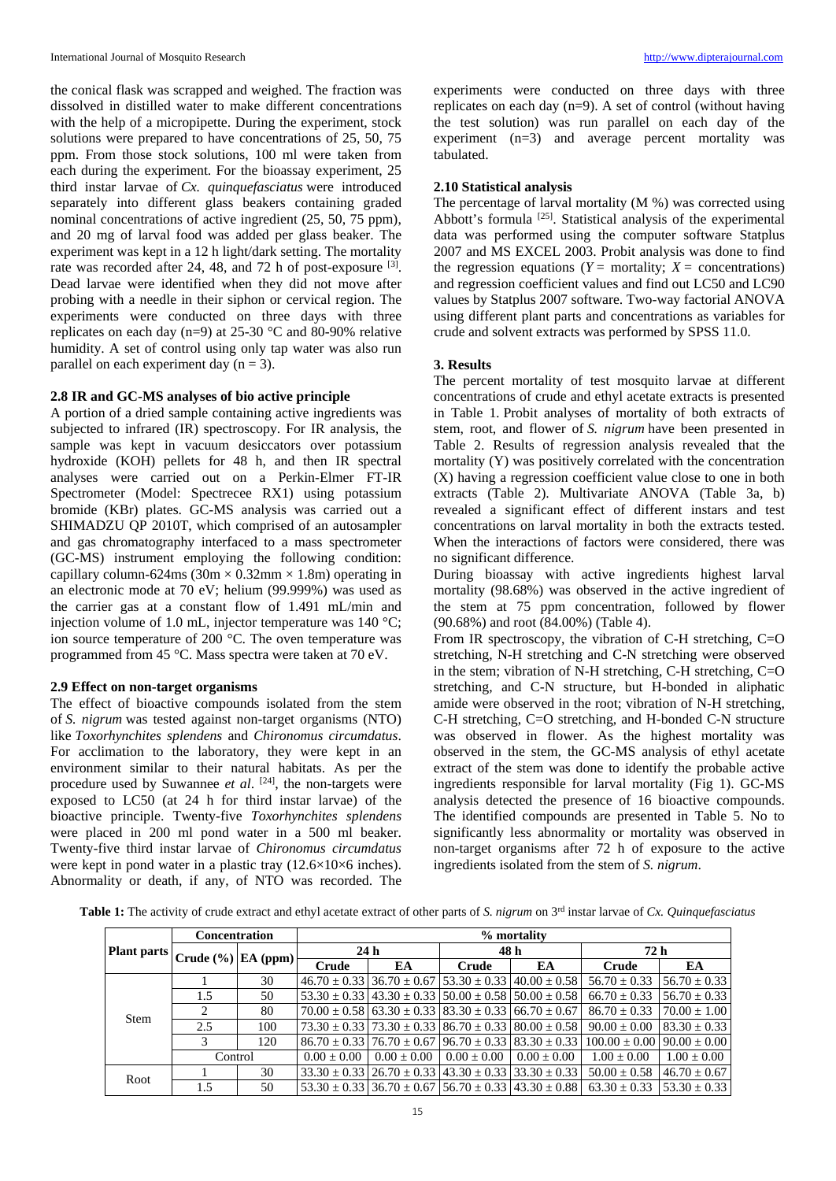the conical flask was scrapped and weighed. The fraction was dissolved in distilled water to make different concentrations with the help of a micropipette. During the experiment, stock solutions were prepared to have concentrations of 25, 50, 75 ppm. From those stock solutions, 100 ml were taken from each during the experiment. For the bioassay experiment, 25 third instar larvae of *Cx. quinquefasciatus* were introduced separately into different glass beakers containing graded nominal concentrations of active ingredient (25, 50, 75 ppm), and 20 mg of larval food was added per glass beaker. The experiment was kept in a 12 h light/dark setting. The mortality rate was recorded after 24, 48, and 72 h of post-exposure <sup>[3]</sup>. Dead larvae were identified when they did not move after probing with a needle in their siphon or cervical region. The experiments were conducted on three days with three replicates on each day (n=9) at 25-30 °C and 80-90% relative humidity. A set of control using only tap water was also run parallel on each experiment day  $(n = 3)$ .

# **2.8 IR and GC-MS analyses of bio active principle**

A portion of a dried sample containing active ingredients was subjected to infrared (IR) spectroscopy. For IR analysis, the sample was kept in vacuum desiccators over potassium hydroxide (KOH) pellets for 48 h, and then IR spectral analyses were carried out on a Perkin-Elmer FT-IR Spectrometer (Model: Spectrecee RX1) using potassium bromide (KBr) plates. GC-MS analysis was carried out a SHIMADZU QP 2010T, which comprised of an autosampler and gas chromatography interfaced to a mass spectrometer (GC-MS) instrument employing the following condition: capillary column-624ms ( $30m \times 0.32mm \times 1.8m$ ) operating in an electronic mode at 70 eV; helium (99.999%) was used as the carrier gas at a constant flow of 1.491 mL/min and injection volume of 1.0 mL, injector temperature was 140 °C; ion source temperature of 200 °C. The oven temperature was programmed from 45 °C. Mass spectra were taken at 70 eV.

#### **2.9 Effect on non-target organisms**

The effect of bioactive compounds isolated from the stem of *S. nigrum* was tested against non-target organisms (NTO) like *Toxorhynchites splendens* and *Chironomus circumdatus*. For acclimation to the laboratory, they were kept in an environment similar to their natural habitats. As per the procedure used by Suwannee *et al*. [24], the non-targets were exposed to LC50 (at 24 h for third instar larvae) of the bioactive principle. Twenty-five *Toxorhynchites splendens* were placed in 200 ml pond water in a 500 ml beaker. Twenty-five third instar larvae of *Chironomus circumdatus* were kept in pond water in a plastic tray  $(12.6\times10\times6$  inches). Abnormality or death, if any, of NTO was recorded. The experiments were conducted on three days with three replicates on each day (n=9). A set of control (without having the test solution) was run parallel on each day of the experiment (n=3) and average percent mortality was tabulated.

#### **2.10 Statistical analysis**

The percentage of larval mortality (M %) was corrected using Abbott's formula <sup>[25]</sup>. Statistical analysis of the experimental data was performed using the computer software Statplus 2007 and MS EXCEL 2003. Probit analysis was done to find the regression equations ( $Y =$  mortality;  $X =$  concentrations) and regression coefficient values and find out LC50 and LC90 values by Statplus 2007 software. Two-way factorial ANOVA using different plant parts and concentrations as variables for crude and solvent extracts was performed by SPSS 11.0.

## **3. Results**

The percent mortality of test mosquito larvae at different concentrations of crude and ethyl acetate extracts is presented in Table 1*.* Probit analyses of mortality of both extracts of stem, root, and flower of *S. nigrum* have been presented in Table 2. Results of regression analysis revealed that the mortality (Y) was positively correlated with the concentration (X) having a regression coefficient value close to one in both extracts (Table 2). Multivariate ANOVA (Table 3a, b) revealed a significant effect of different instars and test concentrations on larval mortality in both the extracts tested. When the interactions of factors were considered, there was no significant difference.

During bioassay with active ingredients highest larval mortality (98.68%) was observed in the active ingredient of the stem at 75 ppm concentration, followed by flower (90.68%) and root (84.00%) (Table 4).

From IR spectroscopy, the vibration of C-H stretching, C=O stretching, N-H stretching and C-N stretching were observed in the stem; vibration of N-H stretching, C-H stretching, C=O stretching, and C-N structure, but H-bonded in aliphatic amide were observed in the root; vibration of N-H stretching, C-H stretching, C=O stretching, and H-bonded C-N structure was observed in flower. As the highest mortality was observed in the stem, the GC-MS analysis of ethyl acetate extract of the stem was done to identify the probable active ingredients responsible for larval mortality (Fig 1). GC-MS analysis detected the presence of 16 bioactive compounds. The identified compounds are presented in Table 5. No to significantly less abnormality or mortality was observed in non-target organisms after 72 h of exposure to the active ingredients isolated from the stem of *S. nigrum*.

Table 1: The activity of crude extract and ethyl acetate extract of other parts of *S. nigrum* on 3<sup>rd</sup> instar larvae of *Cx. Quinquefasciatus* 

| <b>Plant parts</b> | <b>Concentration</b>           |     | % mortality     |                                                                           |                 |                                                                           |                                      |                  |  |  |
|--------------------|--------------------------------|-----|-----------------|---------------------------------------------------------------------------|-----------------|---------------------------------------------------------------------------|--------------------------------------|------------------|--|--|
|                    | Crude $(\%)$ EA (ppm) $\vdash$ |     | 24 <sub>h</sub> |                                                                           | 48 h            |                                                                           | 72 h                                 |                  |  |  |
|                    |                                |     | Crude           | EA                                                                        | Crude           | EA                                                                        | Crude                                | EA               |  |  |
|                    |                                | 30  |                 |                                                                           |                 | $46.70 \pm 0.33$ 36.70 $\pm$ 0.67 3.30 $\pm$ 0.33 40.00 $\pm$ 0.58        | $56.70 \pm 0.33$                     | $56.70 \pm 0.33$ |  |  |
|                    | 1.5                            | 50  |                 |                                                                           |                 | $53.30 \pm 0.33$   $43.30 \pm 0.33$   $50.00 \pm 0.58$   $50.00 \pm 0.58$ | $66.70 \pm 0.33$                     | $56.70 \pm 0.33$ |  |  |
| <b>Stem</b>        |                                | 80  |                 | $70.00 \pm 0.58$ 63.30 $\pm$ 0.33 83.30 $\pm$ 0.33 66.70 $\pm$ 0.67       |                 |                                                                           | $86.70 \pm 0.33$                     | $70.00 \pm 1.00$ |  |  |
|                    | 2.5                            | 100 |                 |                                                                           |                 | $73.30 \pm 0.33$   $73.30 \pm 0.33$   $86.70 \pm 0.33$   $80.00 \pm 0.58$ | $90.00 \pm 0.00$                     | $83.30 \pm 0.33$ |  |  |
|                    |                                | 120 |                 | $86.70 \pm 0.33$   76.70 $\pm$ 0.67   96.70 $\pm$ 0.33   83.30 $\pm$ 0.33 |                 |                                                                           | $100.00 \pm 0.00$   90.00 $\pm 0.00$ |                  |  |  |
|                    | Control                        |     | $0.00 \pm 0.00$ | $0.00 \pm 0.00$                                                           | $0.00 \pm 0.00$ | $0.00 \pm 0.00$                                                           | $1.00 \pm 0.00$                      | $1.00 \pm 0.00$  |  |  |
| Root               |                                | 30  |                 |                                                                           |                 | $33.30 \pm 0.33$   26.70 $\pm$ 0.33   43.30 $\pm$ 0.33   33.30 $\pm$ 0.33 | $50.00 \pm 0.58$                     | $46.70 + 0.67$   |  |  |
|                    | 1.5                            | 50  |                 |                                                                           |                 | $53.30 \pm 0.33$   36.70 $\pm$ 0.67   56.70 $\pm$ 0.33   43.30 $\pm$ 0.88 | $63.30 \pm 0.33$                     | $53.30 \pm 0.33$ |  |  |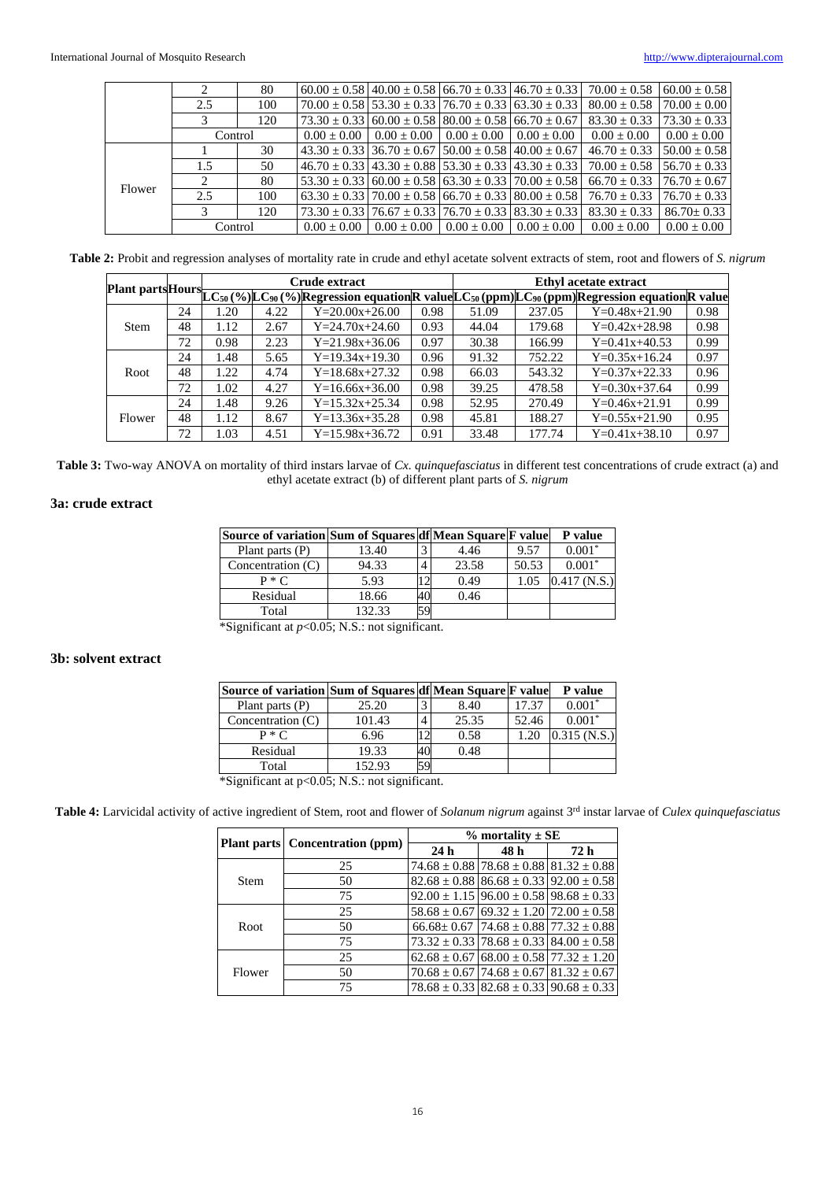|        |         | 80  |                                                                         |                                                                           |                             | $60.00 \pm 0.58$   40.00 $\pm$ 0.58   66.70 $\pm$ 0.33   46.70 $\pm$ 0.33 | $70.00 + 0.58$                                                                           | $60.00 \pm 0.58$ |
|--------|---------|-----|-------------------------------------------------------------------------|---------------------------------------------------------------------------|-----------------------------|---------------------------------------------------------------------------|------------------------------------------------------------------------------------------|------------------|
|        | 2.5     | 100 |                                                                         |                                                                           |                             | $70.00 \pm 0.58$ 53.30 $\pm$ 0.33 $76.70 \pm 0.33$ 63.30 $\pm$ 0.33       | $80.00 \pm 0.58$                                                                         | $70.00 \pm 0.00$ |
|        |         | 120 | $173.30 \pm 0.33$ $160.00 \pm 0.58$ $180.00 \pm 0.58$ $166.70 \pm 0.67$ |                                                                           |                             |                                                                           | $83.30 \pm 0.33$                                                                         | $73.30 \pm 0.33$ |
|        | Control |     | $0.00 + 0.00$                                                           |                                                                           | $0.00 + 0.00 + 0.00 + 0.00$ | $0.00 \pm 0.00$                                                           | $0.00 + 0.00$                                                                            | $0.00 \pm 0.00$  |
| Flower |         | 30  |                                                                         | $43.30 \pm 0.33$   36.70 $\pm$ 0.67   50.00 $\pm$ 0.58   40.00 $\pm$ 0.67 |                             |                                                                           | $46.70 \pm 0.33$                                                                         | $50.00 \pm 0.58$ |
|        | 1.5     | 50  |                                                                         |                                                                           |                             |                                                                           | $46.70 \pm 0.33$ $143.30 \pm 0.88$ $153.30 \pm 0.33$ $143.30 \pm 0.33$ $170.00 \pm 0.58$ | $56.70 \pm 0.33$ |
|        | ∍       | 80  |                                                                         |                                                                           |                             | $53.30 \pm 0.33$ 60.00 $\pm 0.58$ 63.30 $\pm 0.33$ 70.00 $\pm 0.58$       | $66.70 \pm 0.33$                                                                         | $76.70 + 0.67$   |
|        | 2.5     | 100 |                                                                         |                                                                           |                             | $63.30 \pm 0.33$   70.00 $\pm$ 0.58   66.70 $\pm$ 0.33   80.00 $\pm$ 0.58 | $76.70 \pm 0.33$                                                                         | $76.70 \pm 0.33$ |
|        |         | 120 |                                                                         |                                                                           |                             | $73.30 \pm 0.33$   76.67 $\pm$ 0.33   76.70 $\pm$ 0.33   83.30 $\pm$ 0.33 | $83.30 \pm 0.33$                                                                         | $86.70 \pm 0.33$ |
|        | Control |     | $0.00 + 0.00$                                                           | $0.00 + 0.00$                                                             | $0.00 \pm 0.00$             | $0.00 + 0.00$                                                             | $0.00 + 0.00$                                                                            | $0.00 \pm 0.00$  |

**Table 2:** Probit and regression analyses of mortality rate in crude and ethyl acetate solvent extracts of stem, root and flowers of *S. nigrum*

|             |    |      |      | Crude extract        |      | Ethyl acetate extract<br>Plant parts Hours LC <sub>50</sub> (%) LC <sub>90</sub> (%) Regression equation R value LC <sub>50</sub> (ppm) LC <sub>90</sub> (ppm) Regression equation R value |        |                 |      |  |
|-------------|----|------|------|----------------------|------|--------------------------------------------------------------------------------------------------------------------------------------------------------------------------------------------|--------|-----------------|------|--|
|             |    |      |      |                      |      |                                                                                                                                                                                            |        |                 |      |  |
|             | 24 | 1.20 | 4.22 | $Y = 20.00x + 26.00$ | 0.98 | 51.09                                                                                                                                                                                      | 237.05 | $Y=0.48x+21.90$ | 0.98 |  |
| <b>Stem</b> | 48 | 1.12 | 2.67 | $Y = 24.70x + 24.60$ | 0.93 | 44.04                                                                                                                                                                                      | 179.68 | $Y=0.42x+28.98$ | 0.98 |  |
|             | 72 | 0.98 | 2.23 | $Y = 21.98x + 36.06$ | 0.97 | 30.38                                                                                                                                                                                      | 166.99 | $Y=0.41x+40.53$ | 0.99 |  |
|             | 24 | 1.48 | 5.65 | $Y=19.34x+19.30$     | 0.96 | 91.32                                                                                                                                                                                      | 752.22 | $Y=0.35x+16.24$ | 0.97 |  |
| Root        | 48 | 1.22 | 4.74 | $Y=18.68x+27.32$     | 0.98 | 66.03                                                                                                                                                                                      | 543.32 | $Y=0.37x+22.33$ | 0.96 |  |
|             | 72 | 1.02 | 4.27 | $Y=16.66x+36.00$     | 0.98 | 39.25                                                                                                                                                                                      | 478.58 | $Y=0.30x+37.64$ | 0.99 |  |
| Flower      | 24 | 1.48 | 9.26 | $Y=15.32x+25.34$     | 0.98 | 52.95                                                                                                                                                                                      | 270.49 | $Y=0.46x+21.91$ | 0.99 |  |
|             | 48 | 1.12 | 8.67 | $Y=13.36x+35.28$     | 0.98 | 45.81                                                                                                                                                                                      | 188.27 | $Y=0.55x+21.90$ | 0.95 |  |
|             | 72 | 1.03 | 4.51 | $Y=15.98x+36.72$     | 0.91 | 33.48                                                                                                                                                                                      | 177.74 | $Y=0.41x+38.10$ | 0.97 |  |

**Table 3:** Two-way ANOVA on mortality of third instars larvae of *Cx. quinquefasciatus* in different test concentrations of crude extract (a) and ethyl acetate extract (b) of different plant parts of *S. nigrum*

# **3a: crude extract**

| Source of variation Sum of Squares df Mean Square F value |        |    |       |       | P value        |
|-----------------------------------------------------------|--------|----|-------|-------|----------------|
| Plant parts $(P)$                                         | 13.40  |    | 4.46  | 9.57  | $0.001*$       |
| Concentration $(C)$                                       | 94.33  | 4  | 23.58 | 50.53 | $0.001*$       |
| $P * C$                                                   | 5.93   | 2  | 0.49  | 1.05  | $0.417$ (N.S.) |
| Residual                                                  | 18.66  | 40 | 0.46  |       |                |
| Total                                                     | 132.33 | 59 |       |       |                |

\*Significant at *p*<0.05; N.S.: not significant.

# **3b: solvent extract**

| Source of variation Sum of Squares df Mean Square F value                                                                                                                                                                                                                                                                |        |    |       |       | P value        |
|--------------------------------------------------------------------------------------------------------------------------------------------------------------------------------------------------------------------------------------------------------------------------------------------------------------------------|--------|----|-------|-------|----------------|
| Plant parts $(P)$                                                                                                                                                                                                                                                                                                        | 25.20  | 3  | 8.40  | 17.37 | $0.001*$       |
| Concentration $(C)$                                                                                                                                                                                                                                                                                                      | 101.43 | 4  | 25.35 | 52.46 | $0.001*$       |
| $P * C$                                                                                                                                                                                                                                                                                                                  | 6.96   |    | 0.58  | 1.20  | $0.315$ (N.S.) |
| Residual                                                                                                                                                                                                                                                                                                                 | 19.33  | 40 | 0.48  |       |                |
| Total                                                                                                                                                                                                                                                                                                                    | 152.93 | 59 |       |       |                |
| $\mathcal{R}$ $\mathcal{R}$ and $\mathcal{R}$ and $\mathcal{R}$ and $\mathcal{R}$ and $\mathcal{R}$ and $\mathcal{R}$ and $\mathcal{R}$ and $\mathcal{R}$ and $\mathcal{R}$ and $\mathcal{R}$ and $\mathcal{R}$ and $\mathcal{R}$ and $\mathcal{R}$ and $\mathcal{R}$ and $\mathcal{R}$ and $\mathcal{R}$ and $\mathcal$ |        |    |       |       |                |

\*Significant at p<0.05; N.S.: not significant.

**Table 4:** Larvicidal activity of active ingredient of Stem, root and flower of *Solanum nigrum* against 3rd instar larvae of *Culex quinquefasciatus*

|             |                                 | $%$ mortality $\pm$ SE |                                                        |                                                    |  |  |  |
|-------------|---------------------------------|------------------------|--------------------------------------------------------|----------------------------------------------------|--|--|--|
|             | Plant parts Concentration (ppm) | 24h                    | 48 h                                                   | 72 h                                               |  |  |  |
|             | 25                              |                        | $74.68 \pm 0.88$ 78.68 $\pm$ 0.88 81.32 $\pm$ 0.88     |                                                    |  |  |  |
| <b>Stem</b> | 50                              |                        |                                                        | $82.68 \pm 0.88$ $86.68 \pm 0.33$ 92.00 $\pm 0.58$ |  |  |  |
|             | 75                              |                        | $92.00 \pm 1.15$ 96.00 $\pm$ 0.58 98.68 $\pm$ 0.33     |                                                    |  |  |  |
| Root        | 25                              |                        | $58.68 \pm 0.67$ 69.32 $\pm$ 1.20 72.00 $\pm$ 0.58     |                                                    |  |  |  |
|             | 50                              |                        | $66.68 \pm 0.67$   74.68 $\pm$ 0.88   77.32 $\pm$ 0.88 |                                                    |  |  |  |
|             | 75                              |                        |                                                        | $73.32 \pm 0.33$ 78.68 $\pm 0.33$ 84.00 $\pm 0.58$ |  |  |  |
| Flower      | 25                              |                        | $62.68 \pm 0.67$ 68.00 $\pm$ 0.58 77.32 $\pm$ 1.20     |                                                    |  |  |  |
|             | 50                              |                        | $70.68 \pm 0.67$   74.68 $\pm$ 0.67   81.32 $\pm$ 0.67 |                                                    |  |  |  |
|             | 75                              |                        |                                                        | $78.68 \pm 0.33$ 82.68 $\pm 0.33$ 90.68 $\pm 0.33$ |  |  |  |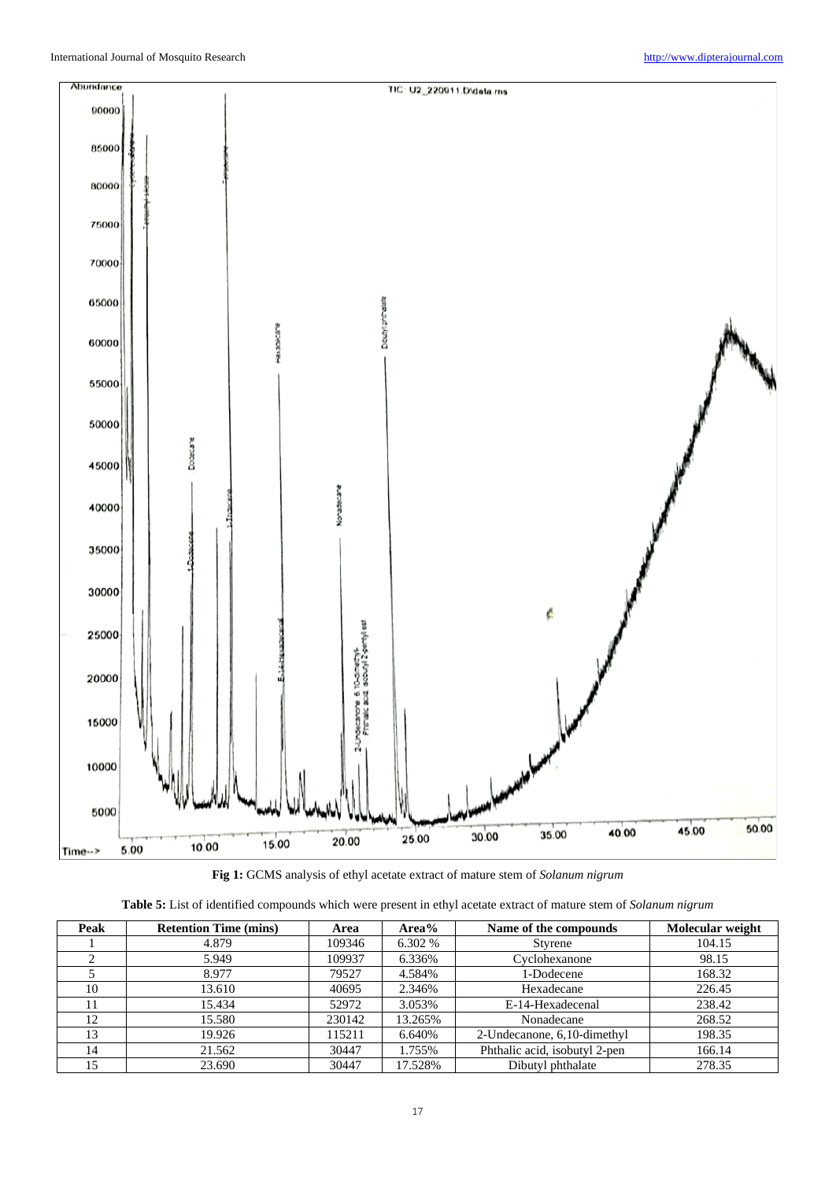

**Fig 1:** GCMS analysis of ethyl acetate extract of mature stem of *Solanum nigrum*

| Peak | <b>Retention Time (mins)</b> | Area   | Area%   | Name of the compounds         | Molecular weight |
|------|------------------------------|--------|---------|-------------------------------|------------------|
|      | 4.879                        | 109346 | 6.302 % | Styrene                       | 104.15           |
|      | 5.949                        | 109937 | 6.336%  | Cyclohexanone                 | 98.15            |
|      | 8.977                        | 79527  | 4.584%  | 1-Dodecene                    | 168.32           |
| 10   | 13.610                       | 40695  | 2.346%  | Hexadecane                    | 226.45           |
|      | 15.434                       | 52972  | 3.053%  | E-14-Hexadecenal              | 238.42           |
| 12   | 15.580                       | 230142 | 13.265% | Nonadecane                    | 268.52           |
| 13   | 19.926                       | 115211 | 6.640%  | 2-Undecanone, 6,10-dimethyl   | 198.35           |
| 14   | 21.562                       | 30447  | 1.755%  | Phthalic acid, isobutyl 2-pen | 166.14           |
| 15   | 23.690                       | 30447  | 17.528% | Dibutyl phthalate             | 278.35           |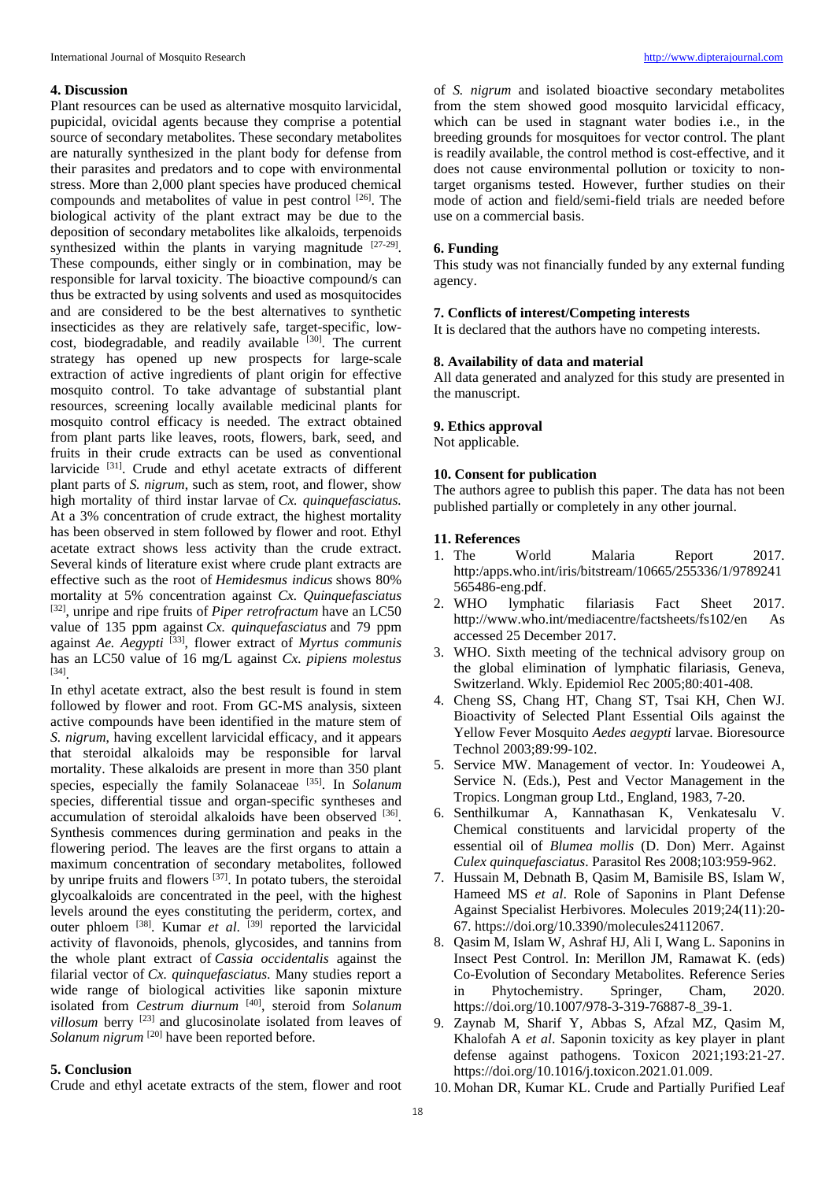## **4. Discussion**

Plant resources can be used as alternative mosquito larvicidal, pupicidal, ovicidal agents because they comprise a potential source of secondary metabolites. These secondary metabolites are naturally synthesized in the plant body for defense from their parasites and predators and to cope with environmental stress. More than 2,000 plant species have produced chemical compounds and metabolites of value in pest control [26]. The biological activity of the plant extract may be due to the deposition of secondary metabolites like alkaloids, terpenoids synthesized within the plants in varying magnitude  $[27-29]$ . These compounds, either singly or in combination, may be responsible for larval toxicity. The bioactive compound/s can thus be extracted by using solvents and used as mosquitocides and are considered to be the best alternatives to synthetic insecticides as they are relatively safe, target-specific, lowcost, biodegradable, and readily available [30]. The current strategy has opened up new prospects for large-scale extraction of active ingredients of plant origin for effective mosquito control. To take advantage of substantial plant resources, screening locally available medicinal plants for mosquito control efficacy is needed. The extract obtained from plant parts like leaves, roots, flowers, bark, seed, and fruits in their crude extracts can be used as conventional larvicide <sup>[31]</sup>. Crude and ethyl acetate extracts of different plant parts of *S. nigrum*, such as stem, root, and flower, show high mortality of third instar larvae of *Cx. quinquefasciatus.* At a 3% concentration of crude extract, the highest mortality has been observed in stem followed by flower and root. Ethyl acetate extract shows less activity than the crude extract. Several kinds of literature exist where crude plant extracts are effective such as the root of *Hemidesmus indicus* shows 80% mortality at 5% concentration against *Cx. Quinquefasciatus*  [32], unripe and ripe fruits of *Piper retrofractum* have an LC50 value of 135 ppm against *Cx. quinquefasciatus* and 79 ppm against *Ae. Aegypti* [33], flower extract of *Myrtus communis*  has an LC50 value of 16 mg/L against *Cx. pipiens molestus*  [34].

In ethyl acetate extract, also the best result is found in stem followed by flower and root. From GC-MS analysis, sixteen active compounds have been identified in the mature stem of *S. nigrum*, having excellent larvicidal efficacy, and it appears that steroidal alkaloids may be responsible for larval mortality. These alkaloids are present in more than 350 plant species, especially the family Solanaceae [35]. In *Solanum* species, differential tissue and organ-specific syntheses and accumulation of steroidal alkaloids have been observed [36]. Synthesis commences during germination and peaks in the flowering period. The leaves are the first organs to attain a maximum concentration of secondary metabolites, followed by unripe fruits and flowers [37]. In potato tubers, the steroidal glycoalkaloids are concentrated in the peel, with the highest levels around the eyes constituting the periderm, cortex, and outer phloem [38]. Kumar *et al*. [39] reported the larvicidal activity of flavonoids, phenols, glycosides, and tannins from the whole plant extract of *Cassia occidentalis* against the filarial vector of *Cx. quinquefasciatus*. Many studies report a wide range of biological activities like saponin mixture isolated from *Cestrum diurnum* [40], steroid from *Solanum villosum* berry [23] and glucosinolate isolated from leaves of *Solanum nigrum* <sup>[20]</sup> have been reported before.

# **5. Conclusion**

Crude and ethyl acetate extracts of the stem, flower and root

of *S. nigrum* and isolated bioactive secondary metabolites from the stem showed good mosquito larvicidal efficacy, which can be used in stagnant water bodies i.e., in the breeding grounds for mosquitoes for vector control. The plant is readily available, the control method is cost-effective, and it does not cause environmental pollution or toxicity to nontarget organisms tested. However, further studies on their mode of action and field/semi-field trials are needed before use on a commercial basis.

## **6. Funding**

This study was not financially funded by any external funding agency.

# **7. Conflicts of interest/Competing interests**

It is declared that the authors have no competing interests.

# **8. Availability of data and material**

All data generated and analyzed for this study are presented in the manuscript.

# **9. Ethics approval**

Not applicable.

# **10. Consent for publication**

The authors agree to publish this paper. The data has not been published partially or completely in any other journal.

### **11. References**

- 1. The World Malaria Report 2017. http:/apps.who.int/iris/bitstream/10665/255336/1/9789241 565486-eng.pdf.
- 2. WHO lymphatic filariasis Fact Sheet 2017. http://www.who.int/mediacentre/factsheets/fs102/en As accessed 25 December 2017.
- 3. WHO. Sixth meeting of the technical advisory group on the global elimination of lymphatic filariasis, Geneva, Switzerland. Wkly. Epidemiol Rec 2005;80:401-408.
- 4. Cheng SS, Chang HT, Chang ST, Tsai KH, Chen WJ. Bioactivity of Selected Plant Essential Oils against the Yellow Fever Mosquito *Aedes aegypti* larvae. Bioresource Technol 2003;89*:*99-102.
- 5. Service MW. Management of vector. In: Youdeowei A, Service N. (Eds.), Pest and Vector Management in the Tropics. Longman group Ltd., England, 1983, 7-20.
- 6. Senthilkumar A, Kannathasan K, Venkatesalu V. Chemical constituents and larvicidal property of the essential oil of *Blumea mollis* (D. Don) Merr. Against *Culex quinquefasciatus*. Parasitol Res 2008;103:959-962.
- 7. Hussain M, Debnath B, Qasim M, Bamisile BS, Islam W, Hameed MS *et al*. Role of Saponins in Plant Defense Against Specialist Herbivores. Molecules 2019;24(11):20- 67. https://doi.org/10.3390/molecules24112067.
- 8. Qasim M, Islam W, Ashraf HJ, Ali I, Wang L. Saponins in Insect Pest Control. In: Merillon JM, Ramawat K. (eds) Co-Evolution of Secondary Metabolites. Reference Series in Phytochemistry. Springer, Cham, 2020. https://doi.org/10.1007/978-3-319-76887-8\_39-1.
- 9. Zaynab M, Sharif Y, Abbas S, Afzal MZ, Qasim M, Khalofah A *et al*. Saponin toxicity as key player in plant defense against pathogens. Toxicon 2021;193:21-27. https://doi.org/10.1016/j.toxicon.2021.01.009.
- 10. Mohan DR, Kumar KL. Crude and Partially Purified Leaf